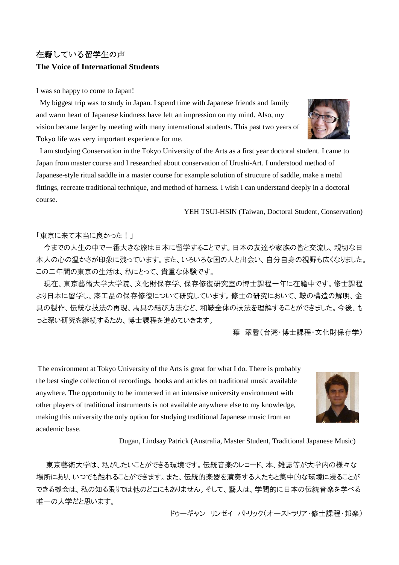## 在籍している留学生の声 **The Voice of International Students**

I was so happy to come to Japan!

My biggest trip was to study in Japan. I spend time with Japanese friends and family and warm heart of Japanese kindness have left an impression on my mind. Also, my vision became larger by meeting with many international students. This past two years of Tokyo life was very important experience for me.



I am studying Conservation in the Tokyo University of the Arts as a first year doctoral student. I came to Japan from master course and I researched about conservation of Urushi-Art. I understood method of Japanese-style ritual saddle in a master course for example solution of structure of saddle, make a metal fittings, recreate traditional technique, and method of harness. I wish I can understand deeply in a doctoral course.

YEH TSUI-HSIN (Taiwan, Doctoral Student, Conservation)

## 「東京に来て本当に良かった!」

今までの人生の中で一番大きな旅は日本に留学することです。日本の友達や家族の皆と交流し、親切な日 本人の心の温かさが印象に残っています。また、いろいろな国の人と出会い、自分自身の視野も広くなりました。 この二年間の東京の生活は、私にとって、貴重な体験です。

現在、東京藝術大学大学院、文化財保存学、保存修復研究室の博士課程一年に在籍中です。 修士課程 より日本に留学し、漆工品の保存修復について研究しています。修士の研究において、鞍の構造の解明、金 具の製作、伝統な技法の再現、馬具の結び方法など、和鞍全体の技法を理解することができました。今後、も っと深い研究を継続するため、博士課程を進めていきます。

葉 翠馨(台湾・博士課程・文化財保存学)

The environment at Tokyo University of the Arts is great for what I do. There is probably the best single collection of recordings, books and articles on traditional music available anywhere. The opportunity to be immersed in an intensive university environment with other players of traditional instruments is not available anywhere else to my knowledge, making this university the only option for studying traditional Japanese music from an academic base.



Dugan, Lindsay Patrick (Australia, Master Student, Traditional Japanese Music)

 東京藝術大学は、私がしたいことができる環境です。伝統音楽のレコード、本、雑誌等が大学内の様々な 場所にあり、いつでも触れることができます。また、伝統的楽器を演奏する人たちと集中的な環境に浸ることが できる機会は、私の知る限りでは他のどこにもありません。そして、藝大は、学問的に日本の伝統音楽を学べる 唯一の大学だと思います。

ドゥーギャン リンゼイ パトリック(オーストラリア・修士課程・邦楽)